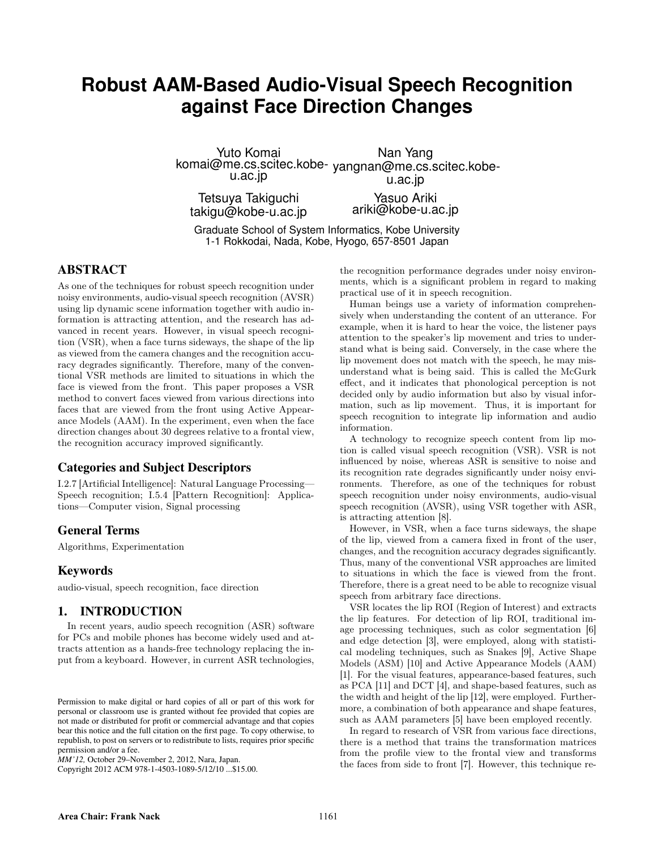# **Robust AAM-Based Audio-Visual Speech Recognition against Face Direction Changes**

Yuto Komai komai@me.cs.scitec.kobe-yangnan@me.cs.scitec.kobeu.ac.jp Nan Yang u.ac.jp

Tetsuya Takiguchi takigu@kobe-u.ac.jp

Yasuo Ariki ariki@kobe-u.ac.jp

Graduate School of System Informatics, Kobe University 1-1 Rokkodai, Nada, Kobe, Hyogo, 657-8501 Japan

## ABSTRACT

As one of the techniques for robust speech recognition under noisy environments, audio-visual speech recognition (AVSR) using lip dynamic scene information together with audio information is attracting attention, and the research has advanced in recent years. However, in visual speech recognition (VSR), when a face turns sideways, the shape of the lip as viewed from the camera changes and the recognition accuracy degrades significantly. Therefore, many of the conventional VSR methods are limited to situations in which the face is viewed from the front. This paper proposes a VSR method to convert faces viewed from various directions into faces that are viewed from the front using Active Appearance Models (AAM). In the experiment, even when the face direction changes about 30 degrees relative to a frontal view, the recognition accuracy improved significantly.

## Categories and Subject Descriptors

I.2.7 [Artificial Intelligence]: Natural Language Processing— Speech recognition; I.5.4 [Pattern Recognition]: Applications—Computer vision, Signal processing

## General Terms

Algorithms, Experimentation

## Keywords

audio-visual, speech recognition, face direction

#### 1. INTRODUCTION

In recent years, audio speech recognition (ASR) software for PCs and mobile phones has become widely used and attracts attention as a hands-free technology replacing the input from a keyboard. However, in current ASR technologies,

Copyright 2012 ACM 978-1-4503-1089-5/12/10 ...\$15.00.

the recognition performance degrades under noisy environments, which is a significant problem in regard to making practical use of it in speech recognition.

Human beings use a variety of information comprehensively when understanding the content of an utterance. For example, when it is hard to hear the voice, the listener pays attention to the speaker's lip movement and tries to understand what is being said. Conversely, in the case where the lip movement does not match with the speech, he may misunderstand what is being said. This is called the McGurk effect, and it indicates that phonological perception is not decided only by audio information but also by visual information, such as lip movement. Thus, it is important for speech recognition to integrate lip information and audio information.

A technology to recognize speech content from lip motion is called visual speech recognition (VSR). VSR is not influenced by noise, whereas ASR is sensitive to noise and its recognition rate degrades significantly under noisy environments. Therefore, as one of the techniques for robust speech recognition under noisy environments, audio-visual speech recognition (AVSR), using VSR together with ASR, is attracting attention [8].

However, in VSR, when a face turns sideways, the shape of the lip, viewed from a camera fixed in front of the user, changes, and the recognition accuracy degrades significantly. Thus, many of the conventional VSR approaches are limited to situations in which the face is viewed from the front. Therefore, there is a great need to be able to recognize visual speech from arbitrary face directions.

VSR locates the lip ROI (Region of Interest) and extracts the lip features. For detection of lip ROI, traditional image processing techniques, such as color segmentation [6] and edge detection [3], were employed, along with statistical modeling techniques, such as Snakes [9], Active Shape Models (ASM) [10] and Active Appearance Models (AAM) [1]. For the visual features, appearance-based features, such as PCA [11] and DCT [4], and shape-based features, such as the width and height of the lip [12], were employed. Furthermore, a combination of both appearance and shape features, such as AAM parameters [5] have been employed recently.

In regard to research of VSR from various face directions, there is a method that trains the transformation matrices from the profile view to the frontal view and transforms the faces from side to front [7]. However, this technique re-

Permission to make digital or hard copies of all or part of this work for personal or classroom use is granted without fee provided that copies are not made or distributed for profit or commercial advantage and that copies bear this notice and the full citation on the first page. To copy otherwise, to republish, to post on servers or to redistribute to lists, requires prior specific permission and/or a fee.

*MM'12,* October 29–November 2, 2012, Nara, Japan.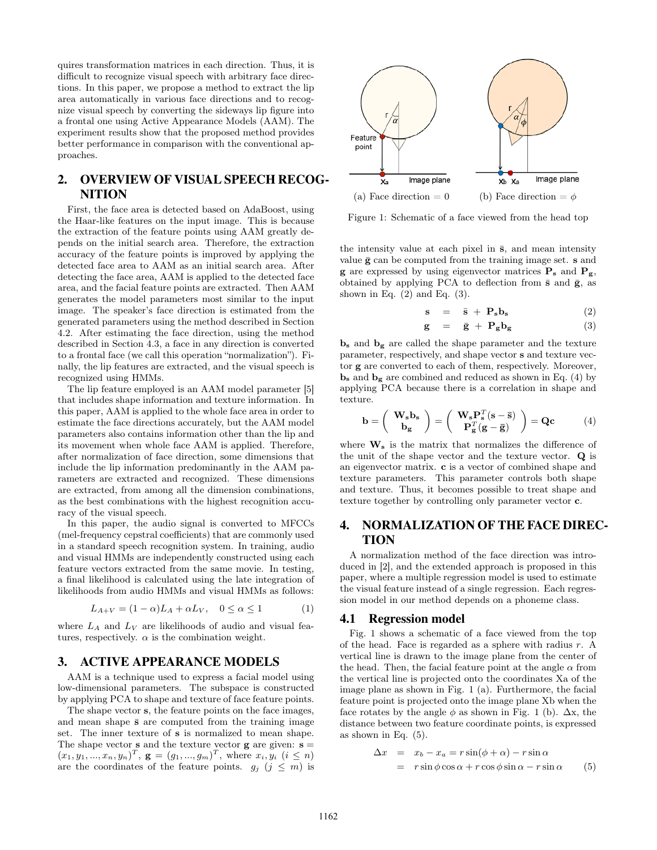quires transformation matrices in each direction. Thus, it is difficult to recognize visual speech with arbitrary face directions. In this paper, we propose a method to extract the lip area automatically in various face directions and to recognize visual speech by converting the sideways lip figure into a frontal one using Active Appearance Models (AAM). The experiment results show that the proposed method provides better performance in comparison with the conventional approaches.

# 2. OVERVIEW OF VISUAL SPEECH RECOG-NITION

First, the face area is detected based on AdaBoost, using the Haar-like features on the input image. This is because the extraction of the feature points using AAM greatly depends on the initial search area. Therefore, the extraction accuracy of the feature points is improved by applying the detected face area to AAM as an initial search area. After detecting the face area, AAM is applied to the detected face area, and the facial feature points are extracted. Then AAM generates the model parameters most similar to the input image. The speaker's face direction is estimated from the generated parameters using the method described in Section 4.2. After estimating the face direction, using the method described in Section 4.3, a face in any direction is converted to a frontal face (we call this operation "normalization"). Finally, the lip features are extracted, and the visual speech is recognized using HMMs.

The lip feature employed is an AAM model parameter [5] that includes shape information and texture information. In this paper, AAM is applied to the whole face area in order to estimate the face directions accurately, but the AAM model parameters also contains information other than the lip and its movement when whole face AAM is applied. Therefore, after normalization of face direction, some dimensions that include the lip information predominantly in the AAM parameters are extracted and recognized. These dimensions are extracted, from among all the dimension combinations, as the best combinations with the highest recognition accuracy of the visual speech.

In this paper, the audio signal is converted to MFCCs (mel-frequency cepstral coefficients) that are commonly used in a standard speech recognition system. In training, audio and visual HMMs are independently constructed using each feature vectors extracted from the same movie. In testing, a final likelihood is calculated using the late integration of likelihoods from audio HMMs and visual HMMs as follows:

$$
L_{A+V} = (1 - \alpha)L_A + \alpha L_V, \quad 0 \le \alpha \le 1 \tag{1}
$$

where  $L_A$  and  $L_V$  are likelihoods of audio and visual features, respectively.  $\alpha$  is the combination weight.

#### 3. ACTIVE APPEARANCE MODELS

AAM is a technique used to express a facial model using low-dimensional parameters. The subspace is constructed by applying PCA to shape and texture of face feature points.

The shape vector **s**, the feature points on the face images, and mean shape  $\bar{s}$  are computed from the training image set. The inner texture of **s** is normalized to mean shape.<br>The shape vector **s** and the texture vector **g** are given:  $\mathbf{s} =$ The shape vector **s** and the texture vector **g** are given: **s** =  $(x_1, y_1, \ldots, x_{n-1})^T$  **g** =  $(a_1, \ldots, a_n)^T$  where  $x_1, y_1, (i \le n)$  $(x_1, y_1, ..., x_n, y_n)^T$ ,  $\mathbf{g} = (g_1, ..., g_m)^T$ , where  $x_i, y_i$   $(i \leq n)$ <br>are the coordinates of the feature points  $g_i$   $(i \leq m)$  is are the coordinates of the feature points.  $g_j$  ( $j \leq m$ ) is



Figure 1: Schematic of a face viewed from the head top

the intensity value at each pixel in ¯**s**, and mean intensity value  $\bar{g}$  can be computed from the training image set.  $s$  and **<sup>g</sup>** are expressed by using eigenvector matrices **<sup>P</sup>s** and **<sup>P</sup>g**, obtained by applying PCA to deflection from  $\bar{\mathbf{s}}$  and  $\bar{\mathbf{g}}$ , as shown in Eq.  $(2)$  and Eq.  $(3)$ .

$$
\mathbf{s} = \bar{\mathbf{s}} + \mathbf{P_s} \mathbf{b_s} \tag{2}
$$

$$
\mathbf{g} = \bar{\mathbf{g}} + \mathbf{P}_{\mathbf{g}} \mathbf{b}_{\mathbf{g}} \tag{3}
$$

**<sup>b</sup>s** and **<sup>b</sup>g** are called the shape parameter and the texture parameter, respectively, and shape vector **s** and texture vector **g** are converted to each of them, respectively. Moreover, **<sup>b</sup>s** and **<sup>b</sup>g** are combined and reduced as shown in Eq. (4) by applying PCA because there is a correlation in shape and texture.

$$
\mathbf{b} = \left(\begin{array}{c} \mathbf{W}_{\mathbf{s}} \mathbf{b}_{\mathbf{s}} \\ \mathbf{b}_{\mathbf{g}} \end{array}\right) = \left(\begin{array}{c} \mathbf{W}_{\mathbf{s}} \mathbf{P}_{\mathbf{s}}^T (\mathbf{s} - \overline{\mathbf{s}}) \\ \mathbf{P}_{\mathbf{g}}^T (\mathbf{g} - \overline{\mathbf{g}}) \end{array}\right) = \mathbf{Q} \mathbf{c} \tag{4}
$$

where **<sup>W</sup>s** is the matrix that normalizes the difference of the unit of the shape vector and the texture vector. **Q** is an eigenvector matrix. **c** is a vector of combined shape and texture parameters. This parameter controls both shape and texture. Thus, it becomes possible to treat shape and texture together by controlling only parameter vector **c**.

# 4. NORMALIZATION OF THE FACE DIREC-**TION**

A normalization method of the face direction was introduced in [2], and the extended approach is proposed in this paper, where a multiple regression model is used to estimate the visual feature instead of a single regression. Each regression model in our method depends on a phoneme class.

#### 4.1 Regression model

Fig. 1 shows a schematic of a face viewed from the top of the head. Face is regarded as a sphere with radius r. A vertical line is drawn to the image plane from the center of the head. Then, the facial feature point at the angle  $\alpha$  from the vertical line is projected onto the coordinates Xa of the image plane as shown in Fig. 1 (a). Furthermore, the facial feature point is projected onto the image plane Xb when the face rotates by the angle  $\phi$  as shown in Fig. 1 (b).  $\Delta x$ , the distance between two feature coordinate points, is expressed as shown in Eq. (5).

$$
\Delta x = x_b - x_a = r \sin(\phi + \alpha) - r \sin \alpha
$$
  
=  $r \sin \phi \cos \alpha + r \cos \phi \sin \alpha - r \sin \alpha$  (5)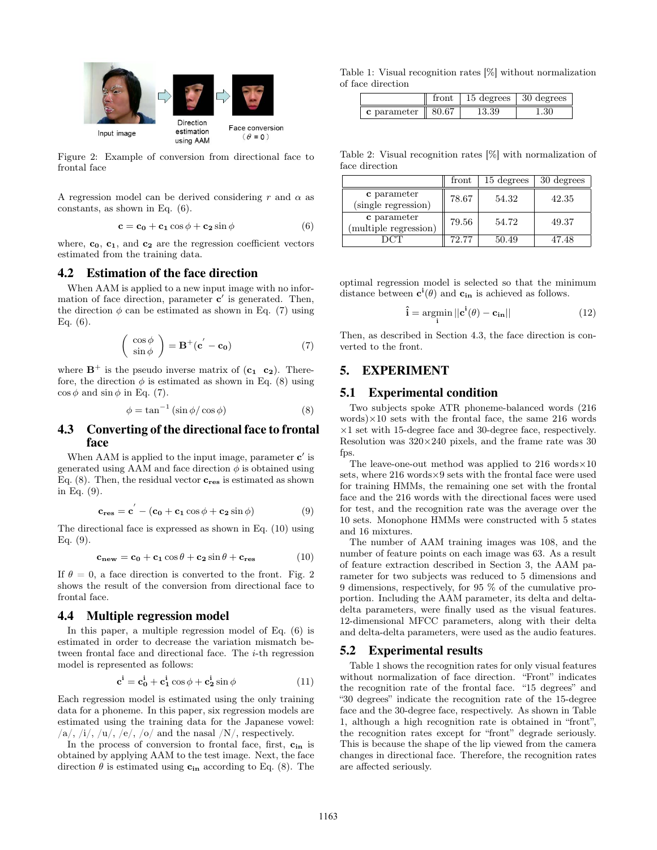

Figure 2: Example of conversion from directional face to frontal face

A regression model can be derived considering r and  $\alpha$  as constants, as shown in Eq. (6).

$$
\mathbf{c} = \mathbf{c_0} + \mathbf{c_1} \cos \phi + \mathbf{c_2} \sin \phi \tag{6}
$$

where,  $c_0$ ,  $c_1$ , and  $c_2$  are the regression coefficient vectors estimated from the training data.

#### 4.2 Estimation of the face direction

When AAM is applied to a new input image with no information of face direction, parameter **c**' is generated. Then,<br>the direction  $\phi$  can be estimated as shown in Eq. (7) using the direction  $\phi$  can be estimated as shown in Eq. (7) using Eq.  $(6)$ .

$$
\begin{pmatrix} \cos \phi \\ \sin \phi \end{pmatrix} = \mathbf{B}^+(\mathbf{c}' - \mathbf{c_0})
$$
 (7)

where  $\mathbf{B}^+$  is the pseudo inverse matrix of  $(c_1, c_2)$ . Therefore, the direction  $\phi$  is estimated as shown in Eq. (8) using  $\cos \phi$  and  $\sin \phi$  in Eq. (7).

$$
\phi = \tan^{-1} \left( \sin \phi / \cos \phi \right) \tag{8}
$$

## 4.3 Converting of the directional face to frontal face

When AAM is applied to the input image, parameter  $\mathbf{c}'$  is<br>perated using AAM and face direction  $\phi$  is obtained using generated using AAM and face direction  $\phi$  is obtained using Eq. (8). Then, the residual vector **<sup>c</sup>res** is estimated as shown in Eq. (9).

$$
\mathbf{c}_{\mathbf{res}} = \mathbf{c}' - (\mathbf{c_0} + \mathbf{c_1} \cos \phi + \mathbf{c_2} \sin \phi) \tag{9}
$$

The directional face is expressed as shown in Eq. (10) using Eq. (9).

$$
\mathbf{c}_{\mathbf{new}} = \mathbf{c_0} + \mathbf{c_1} \cos \theta + \mathbf{c_2} \sin \theta + \mathbf{c}_{\mathbf{res}} \tag{10}
$$

If  $\theta = 0$ , a face direction is converted to the front. Fig. 2 shows the result of the conversion from directional face to frontal face.

#### 4.4 Multiple regression model

In this paper, a multiple regression model of Eq. (6) is estimated in order to decrease the variation mismatch between frontal face and directional face. The *i*-th regression model is represented as follows:

$$
\mathbf{c}^{\mathbf{i}} = \mathbf{c}^{\mathbf{i}}_{0} + \mathbf{c}^{\mathbf{i}}_{1} \cos \phi + \mathbf{c}^{\mathbf{i}}_{2} \sin \phi \tag{11}
$$

Each regression model is estimated using the only training data for a phoneme. In this paper, six regression models are estimated using the training data for the Japanese vowel: /a/, /i/, /u/, /e/, /o/ and the nasal /N/, respectively.

In the process of conversion to frontal face, first, **<sup>c</sup>in** is obtained by applying AAM to the test image. Next, the face direction  $\theta$  is estimated using  $\mathbf{c}_{\text{in}}$  according to Eq. (8). The

Table 1: Visual recognition rates [%] without normalization of face direction

|                                   | front | 15 degrees   30 degrees |          |
|-----------------------------------|-------|-------------------------|----------|
| $\vert$ c parameter $\vert$ 80.67 |       | 13.39                   | $1.30\,$ |
|                                   |       |                         |          |

Table 2: Visual recognition rates [%] with normalization of face direction

|                                     | front | 15 degrees | 30 degrees |
|-------------------------------------|-------|------------|------------|
| c parameter<br>(single regression)  | 78.67 | 54.32      | 42.35      |
| c parameter<br>multiple regression) | 79.56 | 54.72      | 49.37      |
| די ה                                | 72.77 | 50.49      | 47.48      |

optimal regression model is selected so that the minimum distance between  $\mathbf{c}^{\mathbf{i}}(\theta)$  and  $\mathbf{c}_{\mathbf{i}\mathbf{n}}$  is achieved as follows.

$$
\hat{\mathbf{i}} = \underset{\mathbf{i}}{\operatorname{argmin}} \left| |\mathbf{c}^{\mathbf{i}}(\theta) - \mathbf{c}_{\mathbf{in}}| \right| \tag{12}
$$

Then, as described in Section 4.3, the face direction is converted to the front.

# 5. EXPERIMENT

#### 5.1 Experimental condition

Two subjects spoke ATR phoneme-balanced words (216 words) $\times$ 10 sets with the frontal face, the same 216 words  $\times 1$  set with 15-degree face and 30-degree face, respectively. Resolution was  $320\times240$  pixels, and the frame rate was 30 fps.

The leave-one-out method was applied to  $216$  words $\times 10$ sets, where  $216$  words $\times 9$  sets with the frontal face were used for training HMMs, the remaining one set with the frontal face and the 216 words with the directional faces were used for test, and the recognition rate was the average over the 10 sets. Monophone HMMs were constructed with 5 states and 16 mixtures.

The number of AAM training images was 108, and the number of feature points on each image was 63. As a result of feature extraction described in Section 3, the AAM parameter for two subjects was reduced to 5 dimensions and 9 dimensions, respectively, for 95 % of the cumulative proportion. Including the AAM parameter, its delta and deltadelta parameters, were finally used as the visual features. 12-dimensional MFCC parameters, along with their delta and delta-delta parameters, were used as the audio features.

#### 5.2 Experimental results

Table 1 shows the recognition rates for only visual features without normalization of face direction. "Front" indicates the recognition rate of the frontal face. "15 degrees" and "30 degrees" indicate the recognition rate of the 15-degree face and the 30-degree face, respectively. As shown in Table 1, although a high recognition rate is obtained in "front", the recognition rates except for "front" degrade seriously. This is because the shape of the lip viewed from the camera changes in directional face. Therefore, the recognition rates are affected seriously.